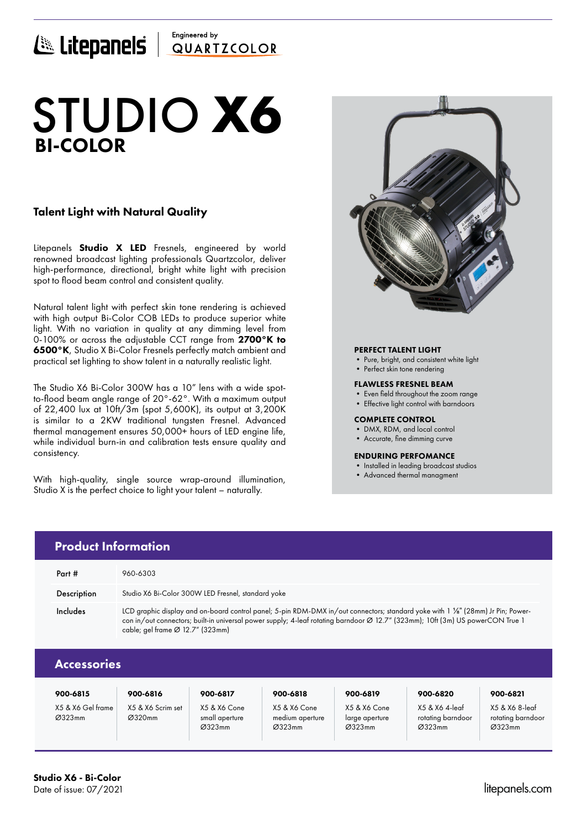## Engineered by E Litepanels QUARTICOLOR

# BI-COLOR STUDIO **X6**

## Talent Light with Natural Quality

Litepanels **Studio X LED** Fresnels, engineered by world renowned broadcast lighting professionals Quartzcolor, deliver high-performance, directional, bright white light with precision spot to flood beam control and consistent quality.

Natural talent light with perfect skin tone rendering is achieved with high output Bi-Color COB LEDs to produce superior white light. With no variation in quality at any dimming level from 0-100% or across the adjustable CCT range from 2700°K to 6500°K, Studio X Bi-Color Fresnels perfectly match ambient and practical set lighting to show talent in a naturally realistic light.

The Studio X6 Bi-Color 300W has a 10" lens with a wide spotto-flood beam angle range of 20°-62°. With a maximum output of 22,400 lux at 10ft/3m (spot 5,600K), its output at 3,200K is similar to a 2KW traditional tungsten Fresnel. Advanced thermal management ensures 50,000+ hours of LED engine life, while individual burn-in and calibration tests ensure quality and consistency.

With high-quality, single source wrap-around illumination, Studio X is the perfect choice to light your talent – naturally.



## PERFECT TALENT LIGHT

- Pure, bright, and consistent white light
- Perfect skin tone rendering

#### FLAWLESS FRESNEL BEAM

- Even field throughout the zoom range
- Effective light control with barndoors

#### COMPLETE CONTROL

- DMX, RDM, and local control
- Accurate, fine dimming curve

### ENDURING PERFOMANCE

- Installed in leading broadcast studios
- Advanced thermal managment

|                    | <b>Product Information</b>                                                                                                                                                                                                                                                                                         |
|--------------------|--------------------------------------------------------------------------------------------------------------------------------------------------------------------------------------------------------------------------------------------------------------------------------------------------------------------|
| Part #             | 960-6303                                                                                                                                                                                                                                                                                                           |
| Description        | Studio X6 Bi-Color 300W LED Fresnel, standard yoke                                                                                                                                                                                                                                                                 |
| Includes           | LCD graphic display and on-board control panel; 5-pin RDM-DMX in/out connectors; standard yoke with 1 1/8" (28mm) Jr Pin; Power-<br>con in/out connectors; built-in universal power supply; 4-leaf rotating barndoor Ø 12.7" (323mm); 10ft (3m) US powerCON True 1<br>cable; gel frame $\varnothing$ 12.7" (323mm) |
| <b>Accessories</b> |                                                                                                                                                                                                                                                                                                                    |

| 900-6815                    | 900-6816                    | 900-6817                                 | 900-6818                                  | 900-6819                                 | 900-6820                                      | 900-6821                                      |
|-----------------------------|-----------------------------|------------------------------------------|-------------------------------------------|------------------------------------------|-----------------------------------------------|-----------------------------------------------|
| X5 & X6 Gel frame<br>Ø323mm | X5 & X6 Scrim set<br>Ø320mm | X5 & X6 Cone<br>small aperture<br>Ø323mm | X5 & X6 Cone<br>medium aperture<br>Ø323mm | X5 & X6 Cone<br>large aperture<br>Ø323mm | X5 & X6 4-leaf<br>rotating barndoor<br>Ø323mm | X5 & X6 8-leaf<br>rotating barndoor<br>Ø323mm |